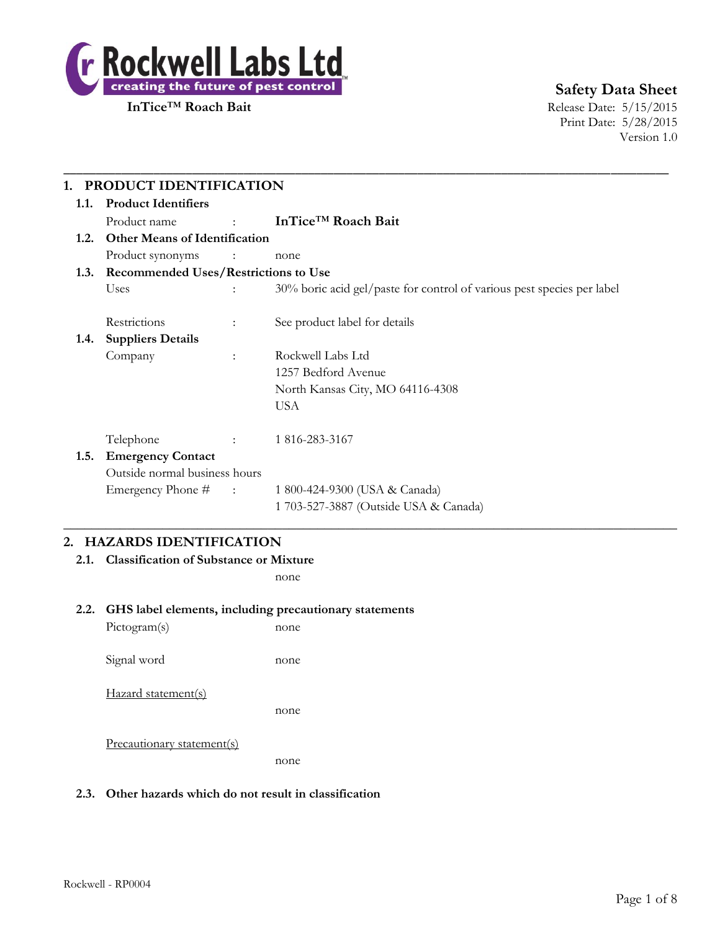

**InTice™ Roach Bait** Release Date: 5/15/2015 Print Date: 5/28/2015 Version 1.0

| <b>Product Identifiers</b><br>1.1.           |                                           |                                                                        |
|----------------------------------------------|-------------------------------------------|------------------------------------------------------------------------|
| Product name                                 | <b>Service State</b>                      | InTice <sup>™</sup> Roach Bait                                         |
| <b>Other Means of Identification</b><br>1.2. |                                           |                                                                        |
| Product synonyms                             | $\sim$ $\sim$ $\sim$ $\sim$ $\sim$ $\sim$ | none                                                                   |
| 1.3. Recommended Uses/Restrictions to Use    |                                           |                                                                        |
| Uses                                         |                                           | 30% boric acid gel/paste for control of various pest species per label |
| Restrictions                                 | $\ddot{\cdot}$                            | See product label for details                                          |
| <b>Suppliers Details</b><br>1.4.             |                                           |                                                                        |
| Company                                      | $\ddot{\phantom{a}}$                      | Rockwell Labs Ltd                                                      |
|                                              |                                           | 1257 Bedford Avenue                                                    |
|                                              |                                           | North Kansas City, MO 64116-4308                                       |
|                                              |                                           | <b>USA</b>                                                             |
| Telephone                                    | $\mathcal{L}$                             | 1816-283-3167                                                          |
| <b>Emergency Contact</b><br>1.5.             |                                           |                                                                        |
| Outside normal business hours                |                                           |                                                                        |
| Emergency Phone # :                          |                                           | 1 800-424-9300 (USA & Canada)                                          |
|                                              |                                           | 1 703-527-3887 (Outside USA & Canada)                                  |

## **2. HAZARDS IDENTIFICATION**

**2.1. Classification of Substance or Mixture**

none

#### **2.2. GHS label elements, including precautionary statements**

Pictogram(s) none Signal word none Hazard statement(s) none Precautionary statement(s) none

## **2.3. Other hazards which do not result in classification**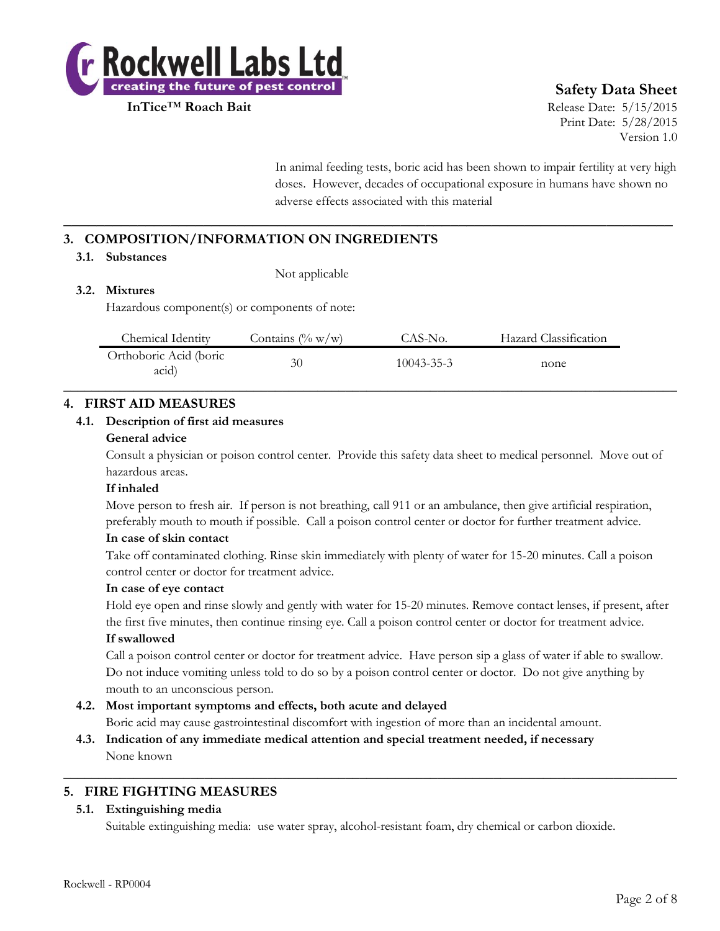

**InTice**™ **Roach Bait** Release Date: 5/15/2015 Print Date: 5/28/2015 Version 1.0

> In animal feeding tests, boric acid has been shown to impair fertility at very high doses. However, decades of occupational exposure in humans have shown no adverse effects associated with this material

## **3. COMPOSITION/INFORMATION ON INGREDIENTS**

#### **3.1. Substances**

Not applicable

## **3.2. Mixtures**

Hazardous component(s) or components of note:

| Chemical Identity               | Contains $(\% w/w)$ | CAS-No.          | Hazard Classification |  |
|---------------------------------|---------------------|------------------|-----------------------|--|
| Orthoboric Acid (boric<br>acid) | 30                  | $10043 - 35 - 3$ | none                  |  |

**\_\_\_\_\_\_\_\_\_\_\_\_\_\_\_\_\_\_\_\_\_\_\_\_\_\_\_\_\_\_\_\_\_\_\_\_\_\_\_\_\_\_\_\_\_\_\_\_\_\_\_\_\_\_\_\_\_\_\_\_\_\_\_\_\_\_\_\_\_\_\_\_\_\_**

## **4. FIRST AID MEASURES**

#### **4.1. Description of first aid measures**

#### **General advice**

Consult a physician or poison control center. Provide this safety data sheet to medical personnel. Move out of hazardous areas.

#### **If inhaled**

Move person to fresh air. If person is not breathing, call 911 or an ambulance, then give artificial respiration, preferably mouth to mouth if possible. Call a poison control center or doctor for further treatment advice.

#### **In case of skin contact**

Take off contaminated clothing. Rinse skin immediately with plenty of water for 15-20 minutes. Call a poison control center or doctor for treatment advice.

#### **In case of eye contact**

Hold eye open and rinse slowly and gently with water for 15-20 minutes. Remove contact lenses, if present, after the first five minutes, then continue rinsing eye. Call a poison control center or doctor for treatment advice.

## **If swallowed**

Call a poison control center or doctor for treatment advice. Have person sip a glass of water if able to swallow. Do not induce vomiting unless told to do so by a poison control center or doctor. Do not give anything by mouth to an unconscious person.

## **4.2. Most important symptoms and effects, both acute and delayed**

Boric acid may cause gastrointestinal discomfort with ingestion of more than an incidental amount.

 $\_$  , and the set of the set of the set of the set of the set of the set of the set of the set of the set of the set of the set of the set of the set of the set of the set of the set of the set of the set of the set of th

**4.3. Indication of any immediate medical attention and special treatment needed, if necessary** None known

## **5. FIRE FIGHTING MEASURES**

## **5.1. Extinguishing media**

Suitable extinguishing media: use water spray, alcohol-resistant foam, dry chemical or carbon dioxide.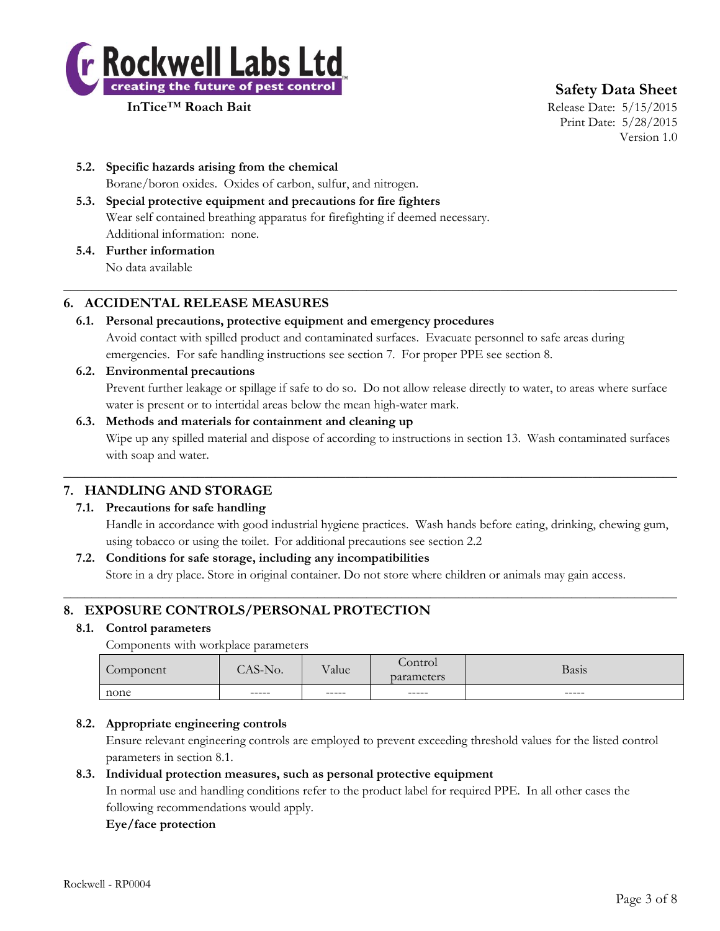

**InTice**™ **Roach Bait** Release Date: 5/15/2015 Print Date: 5/28/2015 Version 1.0

- **5.2. Specific hazards arising from the chemical** Borane/boron oxides. Oxides of carbon, sulfur, and nitrogen.
- **5.3. Special protective equipment and precautions for fire fighters** Wear self contained breathing apparatus for firefighting if deemed necessary. Additional information: none.
- **5.4. Further information** No data available

## **6. ACCIDENTAL RELEASE MEASURES**

**6.1. Personal precautions, protective equipment and emergency procedures** Avoid contact with spilled product and contaminated surfaces. Evacuate personnel to safe areas during emergencies. For safe handling instructions see section 7. For proper PPE see section 8.

 $\_$  , and the set of the set of the set of the set of the set of the set of the set of the set of the set of the set of the set of the set of the set of the set of the set of the set of the set of the set of the set of th

**6.2. Environmental precautions**

Prevent further leakage or spillage if safe to do so. Do not allow release directly to water, to areas where surface water is present or to intertidal areas below the mean high-water mark.

## **6.3. Methods and materials for containment and cleaning up** Wipe up any spilled material and dispose of according to instructions in section 13. Wash contaminated surfaces with soap and water.

## **7. HANDLING AND STORAGE**

## **7.1. Precautions for safe handling**

Handle in accordance with good industrial hygiene practices. Wash hands before eating, drinking, chewing gum, using tobacco or using the toilet. For additional precautions see section 2.2

## **7.2. Conditions for safe storage, including any incompatibilities**

Store in a dry place. Store in original container. Do not store where children or animals may gain access.  $\_$  , and the set of the set of the set of the set of the set of the set of the set of the set of the set of the set of the set of the set of the set of the set of the set of the set of the set of the set of the set of th

 $\_$  , and the set of the set of the set of the set of the set of the set of the set of the set of the set of the set of the set of the set of the set of the set of the set of the set of the set of the set of the set of th

## **8. EXPOSURE CONTROLS/PERSONAL PROTECTION**

## **8.1. Control parameters**

Components with workplace parameters

| $\sqrt{2}$<br>Component | C <sub>N</sub><br>NO.<br>╮– | <b>TT</b><br>$\vee$ alue | ontrol<br>parameters | Basis  |
|-------------------------|-----------------------------|--------------------------|----------------------|--------|
| none                    | ------                      | ------                   | ------               | ------ |

## **8.2. Appropriate engineering controls**

Ensure relevant engineering controls are employed to prevent exceeding threshold values for the listed control parameters in section 8.1.

## **8.3. Individual protection measures, such as personal protective equipment**

In normal use and handling conditions refer to the product label for required PPE. In all other cases the following recommendations would apply.

## **Eye/face protection**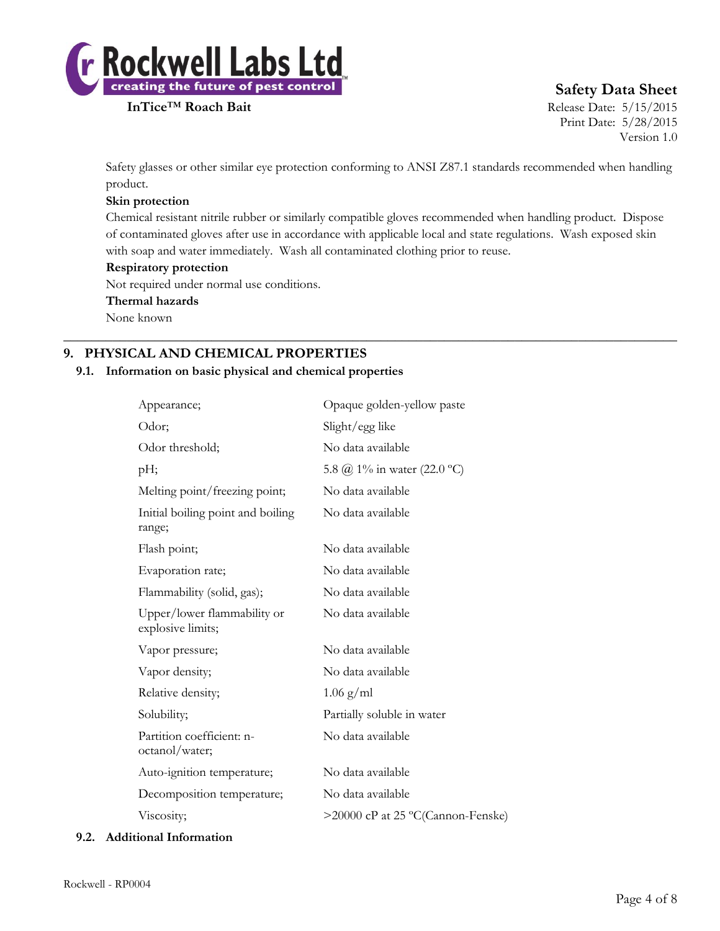

**InTice™ Roach Bait** Release Date: 5/15/2015 Print Date: 5/28/2015 Version 1.0

Safety glasses or other similar eye protection conforming to ANSI Z87.1 standards recommended when handling product.

## **Skin protection**

Chemical resistant nitrile rubber or similarly compatible gloves recommended when handling product. Dispose of contaminated gloves after use in accordance with applicable local and state regulations. Wash exposed skin with soap and water immediately. Wash all contaminated clothing prior to reuse.

 $\_$  , and the set of the set of the set of the set of the set of the set of the set of the set of the set of the set of the set of the set of the set of the set of the set of the set of the set of the set of the set of th

## **Respiratory protection**

Not required under normal use conditions.

#### **Thermal hazards**

None known

## **9. PHYSICAL AND CHEMICAL PROPERTIES**

## **9.1. Information on basic physical and chemical properties**

| Appearance;                                      | Opaque golden-yellow paste        |
|--------------------------------------------------|-----------------------------------|
| Odor;                                            | Slight/egg like                   |
| Odor threshold;                                  | No data available                 |
| pH;                                              | 5.8 @ 1% in water (22.0 °C)       |
| Melting point/freezing point;                    | No data available                 |
| Initial boiling point and boiling<br>range;      | No data available                 |
| Flash point;                                     | No data available                 |
| Evaporation rate;                                | No data available                 |
| Flammability (solid, gas);                       | No data available                 |
| Upper/lower flammability or<br>explosive limits; | No data available                 |
| Vapor pressure;                                  | No data available                 |
| Vapor density;                                   | No data available                 |
| Relative density;                                | $1.06$ g/ml                       |
| Solubility;                                      | Partially soluble in water        |
| Partition coefficient: n-<br>octanol/water;      | No data available                 |
| Auto-ignition temperature;                       | No data available                 |
| Decomposition temperature;                       | No data available                 |
| Viscosity;                                       | >20000 cP at 25 °C(Cannon-Fenske) |

#### **9.2. Additional Information**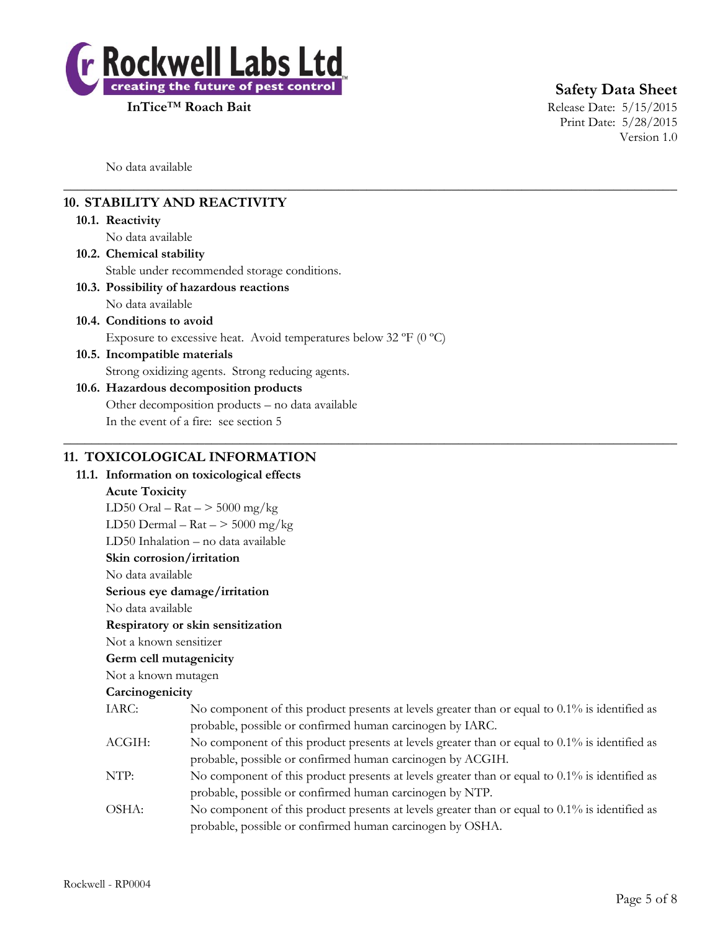

**InTice**™ **Roach Bait** Release Date: 5/15/2015 Print Date: 5/28/2015 Version 1.0

No data available

## **10. STABILITY AND REACTIVITY**

#### **10.1. Reactivity**

No data available

**10.2. Chemical stability**

Stable under recommended storage conditions.

- **10.3. Possibility of hazardous reactions**
- No data available
- **10.4. Conditions to avoid** Exposure to excessive heat. Avoid temperatures below 32  $\rm{P}F$  (0  $\rm{^{\circ}C})$
- **10.5. Incompatible materials** Strong oxidizing agents. Strong reducing agents.

## **10.6. Hazardous decomposition products** Other decomposition products – no data available In the event of a fire: see section 5

## **11. TOXICOLOGICAL INFORMATION**

#### **11.1. Information on toxicological effects**

### **Acute Toxicity**

LD50 Oral –  $\text{Rat}$  –  $>$  5000 mg/kg

LD50 Dermal –  $\text{Rat}$  –  $>$  5000 mg/kg

LD50 Inhalation – no data available

**Skin corrosion/irritation**

No data available

#### **Serious eye damage/irritation**

No data available

#### **Respiratory or skin sensitization**

Not a known sensitizer

## **Germ cell mutagenicity**

## Not a known mutagen

#### **Carcinogenicity**

| IARC:  | No component of this product presents at levels greater than or equal to $0.1\%$ is identified as |
|--------|---------------------------------------------------------------------------------------------------|
|        | probable, possible or confirmed human carcinogen by IARC.                                         |
| ACGIH: | No component of this product presents at levels greater than or equal to $0.1\%$ is identified as |
|        | probable, possible or confirmed human carcinogen by ACGIH.                                        |
| NTP:   | No component of this product presents at levels greater than or equal to $0.1\%$ is identified as |
|        | probable, possible or confirmed human carcinogen by NTP.                                          |
| OSHA:  | No component of this product presents at levels greater than or equal to $0.1\%$ is identified as |
|        | probable, possible or confirmed human carcinogen by OSHA.                                         |

 $\_$  , and the set of the set of the set of the set of the set of the set of the set of the set of the set of the set of the set of the set of the set of the set of the set of the set of the set of the set of the set of th

 $\_$  , and the set of the set of the set of the set of the set of the set of the set of the set of the set of the set of the set of the set of the set of the set of the set of the set of the set of the set of the set of th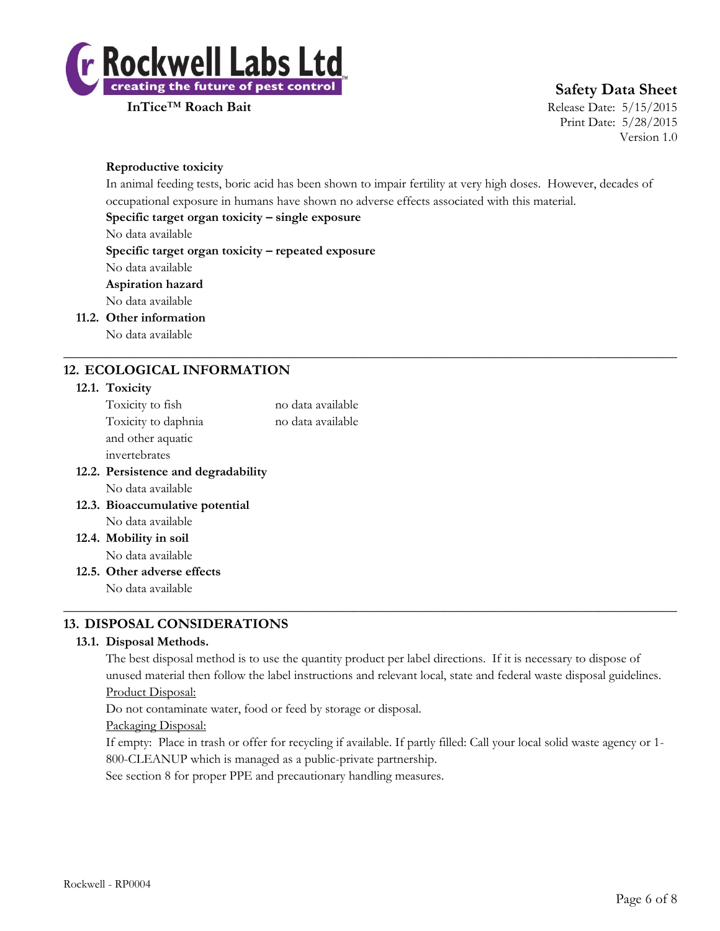

**InTice**™ **Roach Bait** Release Date: 5/15/2015 Print Date: 5/28/2015 Version 1.0

### **Reproductive toxicity**

In animal feeding tests, boric acid has been shown to impair fertility at very high doses. However, decades of occupational exposure in humans have shown no adverse effects associated with this material.

 $\_$  , and the set of the set of the set of the set of the set of the set of the set of the set of the set of the set of the set of the set of the set of the set of the set of the set of the set of the set of the set of th

## **Specific target organ toxicity – single exposure**

No data available

**Specific target organ toxicity – repeated exposure**

No data available

## **Aspiration hazard**

No data available

**11.2. Other information**

No data available

## **12. ECOLOGICAL INFORMATION**

#### **12.1. Toxicity**

| 12.2. Persistence and degradability |                   |
|-------------------------------------|-------------------|
| invertebrates                       |                   |
| and other aquatic                   |                   |
| Toxicity to daphnia                 | no data available |
| Toxicity to fish                    | no data available |
|                                     |                   |

No data available

**12.3. Bioaccumulative potential** No data available

**12.4. Mobility in soil** No data available

**12.5. Other adverse effects**

No data available

## **13. DISPOSAL CONSIDERATIONS**

## **13.1. Disposal Methods.**

The best disposal method is to use the quantity product per label directions. If it is necessary to dispose of unused material then follow the label instructions and relevant local, state and federal waste disposal guidelines. Product Disposal:

 $\_$  , and the set of the set of the set of the set of the set of the set of the set of the set of the set of the set of the set of the set of the set of the set of the set of the set of the set of the set of the set of th

Do not contaminate water, food or feed by storage or disposal.

Packaging Disposal:

If empty: Place in trash or offer for recycling if available. If partly filled: Call your local solid waste agency or 1- 800-CLEANUP which is managed as a public-private partnership.

See section 8 for proper PPE and precautionary handling measures.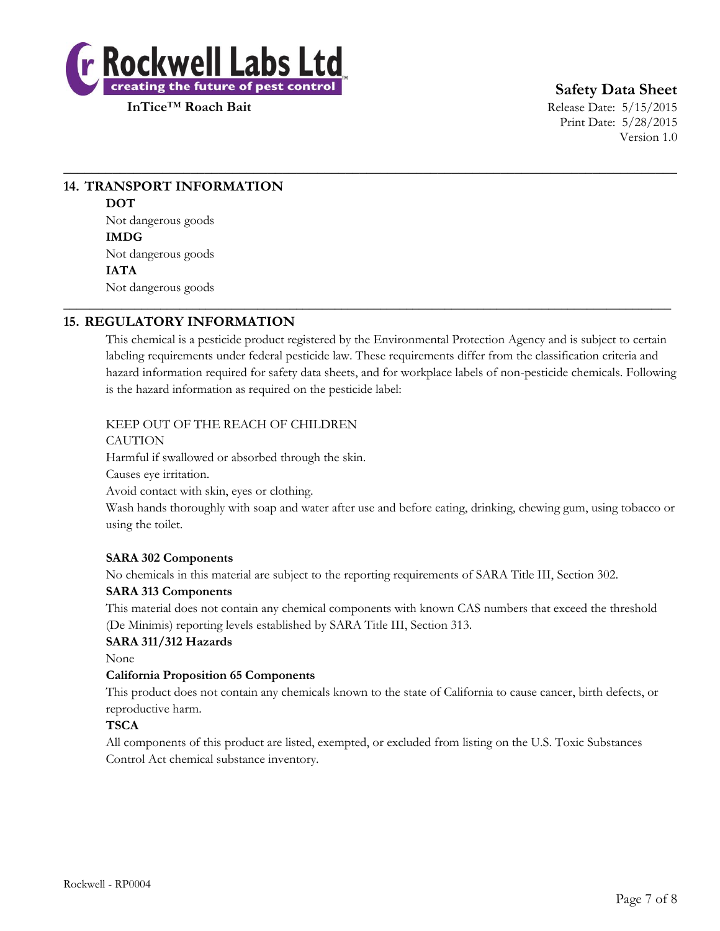

**InTice**™ **Roach Bait** Release Date: 5/15/2015 Print Date: 5/28/2015 Version 1.0

## **14. TRANSPORT INFORMATION DOT** Not dangerous goods **IMDG** Not dangerous goods

**IATA**

Not dangerous goods

## **15. REGULATORY INFORMATION**

This chemical is a pesticide product registered by the Environmental Protection Agency and is subject to certain labeling requirements under federal pesticide law. These requirements differ from the classification criteria and hazard information required for safety data sheets, and for workplace labels of non-pesticide chemicals. Following is the hazard information as required on the pesticide label:

 $\_$  , and the set of the set of the set of the set of the set of the set of the set of the set of the set of the set of the set of the set of the set of the set of the set of the set of the set of the set of the set of th

\_\_\_\_\_\_\_\_\_\_\_\_\_\_\_\_\_\_\_\_\_\_\_\_\_\_\_\_\_\_\_\_\_\_\_\_\_\_\_\_\_\_\_\_\_\_\_\_\_\_\_\_\_\_\_\_\_\_\_\_\_\_\_\_\_\_\_\_\_\_\_\_\_\_\_\_\_\_\_\_\_\_\_\_\_\_\_\_\_\_\_\_\_\_

## KEEP OUT OF THE REACH OF CHILDREN

CAUTION

Harmful if swallowed or absorbed through the skin.

Causes eye irritation.

Avoid contact with skin, eyes or clothing.

Wash hands thoroughly with soap and water after use and before eating, drinking, chewing gum, using tobacco or using the toilet.

## **SARA 302 Components**

No chemicals in this material are subject to the reporting requirements of SARA Title III, Section 302.

## **SARA 313 Components**

This material does not contain any chemical components with known CAS numbers that exceed the threshold (De Minimis) reporting levels established by SARA Title III, Section 313.

## **SARA 311/312 Hazards**

None

#### **California Proposition 65 Components**

This product does not contain any chemicals known to the state of California to cause cancer, birth defects, or reproductive harm.

## **TSCA**

All components of this product are listed, exempted, or excluded from listing on the U.S. Toxic Substances Control Act chemical substance inventory.